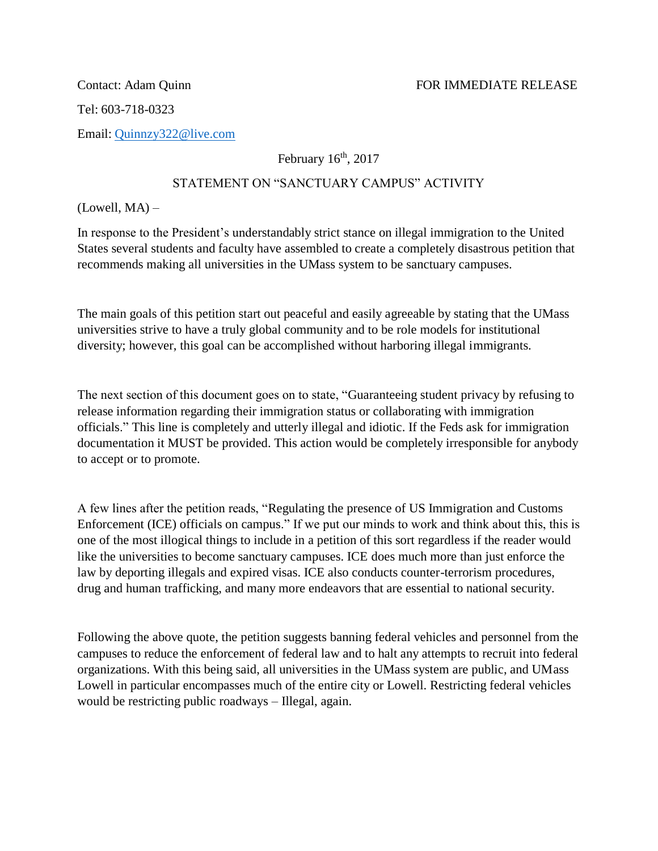Tel: 603-718-0323

Email: [Quinnzy322@live.com](mailto:Quinnzy322@live.com)

February  $16<sup>th</sup>$ , 2017

## STATEMENT ON "SANCTUARY CAMPUS" ACTIVITY

 $(Lowell, MA)$  –

In response to the President's understandably strict stance on illegal immigration to the United States several students and faculty have assembled to create a completely disastrous petition that recommends making all universities in the UMass system to be sanctuary campuses.

The main goals of this petition start out peaceful and easily agreeable by stating that the UMass universities strive to have a truly global community and to be role models for institutional diversity; however, this goal can be accomplished without harboring illegal immigrants.

The next section of this document goes on to state, "Guaranteeing student privacy by refusing to release information regarding their immigration status or collaborating with immigration officials." This line is completely and utterly illegal and idiotic. If the Feds ask for immigration documentation it MUST be provided. This action would be completely irresponsible for anybody to accept or to promote.

A few lines after the petition reads, "Regulating the presence of US Immigration and Customs Enforcement (ICE) officials on campus." If we put our minds to work and think about this, this is one of the most illogical things to include in a petition of this sort regardless if the reader would like the universities to become sanctuary campuses. ICE does much more than just enforce the law by deporting illegals and expired visas. ICE also conducts counter-terrorism procedures, drug and human trafficking, and many more endeavors that are essential to national security.

Following the above quote, the petition suggests banning federal vehicles and personnel from the campuses to reduce the enforcement of federal law and to halt any attempts to recruit into federal organizations. With this being said, all universities in the UMass system are public, and UMass Lowell in particular encompasses much of the entire city or Lowell. Restricting federal vehicles would be restricting public roadways – Illegal, again.